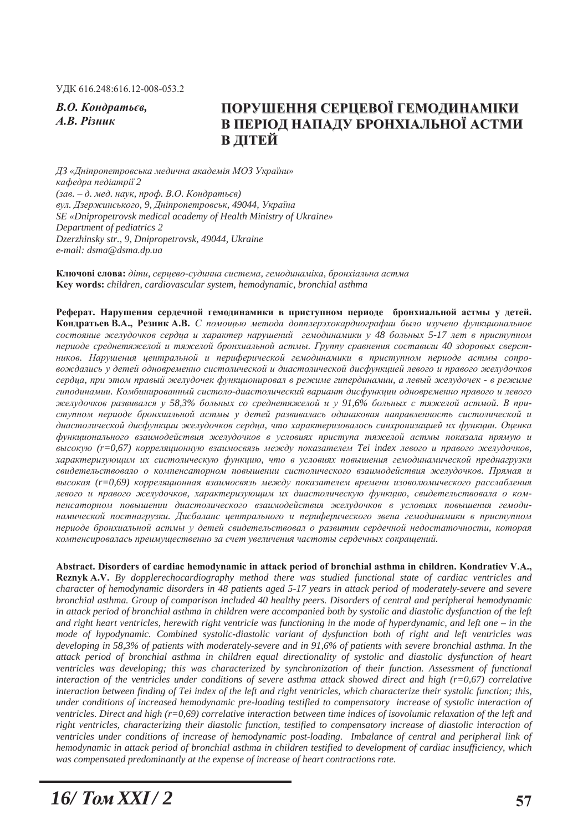**В.О.** Кондратьєв.  $A$ *.B. Різник* 

# ПОРУШЕННЯ СЕРЦЕВОЇ ГЕМОДИНАМІКИ В ПЕРІОД НАПАДУ БРОНХІАЛЬНОЇ АСТМИ **В** ДІТЕЙ

 $\Box$ 3 «Дніпропетровська медична академія МОЗ України» *ɤɚɮɟɞɪɚ ɩɟɞɿɚɬɪɿʀ 2*  (зав. – д. мед. наук, проф. В.О. Кондратьєв)  $g_{VJ}$ . *Дзержинського*, 9, Дніпропетровськ, 49044, Україна *SE «Dnipropetrovsk medical academy of Health Ministry of Ukraine» Department of pediatrics 2 Dzerzhinsky str., 9, Dnipropetrovsk, 49044, Ukraine e-mail: dsma@dsma.dp.ua* 

Ключові слова: діти, серцево-судинна система, гемодинаміка, бронхіальна астма **.H\ZRUGV** *children, cardiovascular system, hemodynamic, bronchial asthma*

Реферат. Нарушения сердечной гемодинамики в приступном периоде бронхиальной астмы у детей. **Кондратьев В.А., Резник А.В.** С помощью метода допплерэхокардиографии было изучено функциональное  $c$ остояние желудочков сердиа и характер нарушений гемодинамики у 48 больных 5-17 лет в приступном периоде среднетяжелой и тяжелой бронхиальной астмы. Группу сравнения составили 40 здоровых сверстников. Нарушения иентральной и периферической гемодинамики в приступном периоде астмы сопро*ɜɨɠɞɚɥɢɫɶ ɭ ɞɟɬɟɣ ɨɞɧɨɜɪɟɦɟɧɧɨ ɫɢɫɬɨɥɢɱɟɫɤɨɣ ɢ ɞɢɚɫɬɨɥɢɱɟɫɤɨɣ ɞɢɫɮɭɧɤɰɢɟɣ ɥɟɜɨɝɨ ɢ ɩɪɚɜɨɝɨ ɠɟɥɭɞɨɱɤɨɜ*  $c$ ердца, при этом правый желудочек функционировал в режиме гипердинамии, а левый желудочек - в режиме гиподинамии. Комбинированный систоло-диастолический вариант дисфункции одновременно правого и левого  $x$ еелудочков развивался у 58,3% больных со среднетяжелой и у 91,6% больных с тяжелой астмой. В приступном периоде бронхиальной астмы у детей развивалась одинаковая направленность систолической и диастолической дисфункции желудочков сердца, что характеризовалось синхронизацией их функции. Оценка  $\phi$ ункционального взаимодействия желудочков в условиях приступа тяжелой астмы показала прямую и  $\alpha$ ысокую (r=0,67) корреляционную взаимосвязь между показателем Tei index левого и правого желудочков, характеризующим их систолическую функцию, что в условиях повышения гемодинамической преднагрузки  $c$ видетельствовало о компенсаторном повышении систолического взаимодействия желудочков. Прямая и  $B$ ысокая (r=0,69) корреляшионная взаимосвязь между показателем времени изоволюмического расслабления левого и правого желудочков, характеризующим их диастолическую функцию, свидетельствовала о компенсаторном повышении диастолического взаимодействия желудочков в условиях повышения гемодинамической постнагрузки. Дисбаланс центрального и периферического звена гемодинамики в приступном периоде бронхиальной астмы у детей свидетельствовал о развитии сердечной недостаточности, которая компенсировалась преимущественно за счет увеличения частоты сердечных сокращений.

Abstract. Disorders of cardiac hemodynamic in attack period of bronchial asthma in children. Kondratiev V.A., **Reznyk A.V.** By dopplerechocardiography method there was studied functional state of cardiac ventricles and *character of hemodynamic disorders in 48 patients aged 5-17 years in attack period of moderately-severe and severe bronchial asthma. Group of comparison included 40 healthy peers. Disorders of central and peripheral hemodynamic in attack period of bronchial asthma in children were accompanied both by systolic and diastolic dysfunction of the left and right heart ventricles, herewith right ventricle was functioning in the mode of hyperdynamic, and left one – in the mode of hypodynamic. Combined systolic-diastolic variant of dysfunction both of right and left ventricles was developing in 58,3% of patients with moderately-severe and in 91,6% of patients with severe bronchial asthma. In the attack period of bronchial asthma in children equal directionality of systolic and diastolic dysfunction of heart ventricles was developing; this was characterized by synchronization of their function. Assessment of functional interaction of the ventricles under conditions of severe asthma attack showed direct and high (r=0,67) correlative interaction between finding of Tei index of the left and right ventricles, which characterize their systolic function; this, under conditions of increased hemodynamic pre-loading testified to compensatory increase of systolic interaction of ventricles. Direct and high (r=0,69) correlative interaction between time indices of isovolumic relaxation of the left and right ventricles, characterizing their diastolic function, testified to compensatory increase of diastolic interaction of ventricles under conditions of increase of hemodynamic post-loading. Imbalance of central and peripheral link of hemodynamic in attack period of bronchial asthma in children testified to development of cardiac insufficiency, which was compensated predominantly at the expense of increase of heart contractions rate.*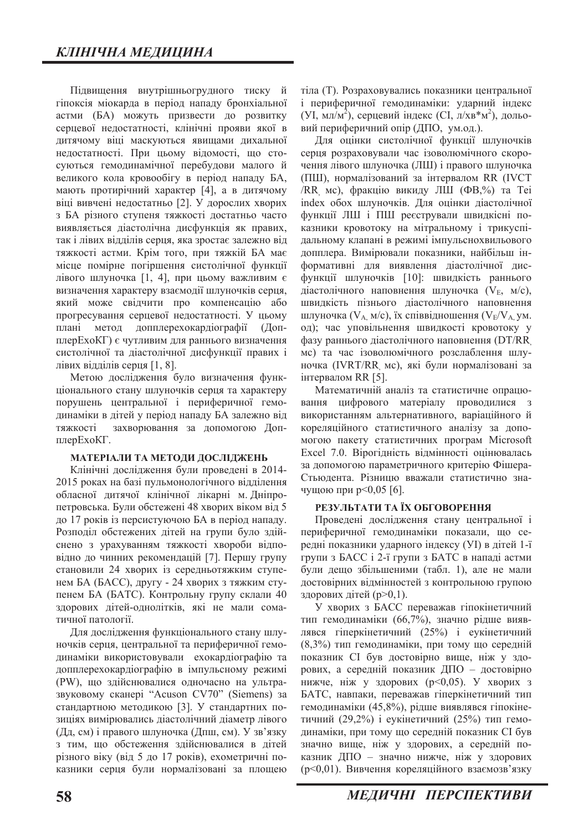Підвищення внутрішньогрудного тиску й гіпоксія міокарда в період нападу бронхіальної астми (БА) можуть призвести до розвитку серцевої недостатності, клінічні прояви якої в дитячому віці маскуються явищами дихальної недостатності. При цьому відомості, що стосуються гемодинамічної перебудови малого й великого кола кровообігу в період нападу БА, мають протирічний характер [4], а в дитячому віці вивчені недостатньо [2]. У дорослих хворих з БА різного ступеня тяжкості достатньо часто виявляється діастолічна дисфункція як правих, так і лівих відділів серця, яка зростає залежно від тяжкості астми. Крім того, при тяжкій БА має місце помірне погіршення систолічної функції лівого шлуночка  $[1, 4]$ , при цьому важливим є визначення характеру взаємодії шлуночків серця, який може свідчити про компенсацію або прогресування серцевої недостатності. У цьому плані метод допплерехокардіографії (ДопплерЕхоКГ) є чутливим для раннього визначення систолічної та діастолічної дисфункції правих і лівих відділів серця  $[1, 8]$ .

Метою дослідження було визначення функціонального стану шлуночків серця та характеру порушень центральної і периферичної гемодинаміки в дітей у період нападу БА залежно від тяжкості захворювання за допомогою ДопплерEхоKГ.

#### МАТЕРІАЛИ ТА МЕТОДИ ДОСЛІДЖЕНЬ

Клінічні дослідження були проведені в 2014-2015 роках на базі пульмонологічного відділення обласної дитячої клінічної лікарні м. Дніпропетровська. Були обстежені 48 хворих віком від 5 до 17 років із персистуючою БА в період нападу. Розподіл обстежених дітей на групи було здійснено з урахуванням тяжкості хвороби відповідно до чинних рекомендацій [7]. Першу групу становили 24 хворих із середньотяжким ступенем БА (БАСС), другу - 24 хворих з тяжким ступенем БА (БАТС). Контрольну групу склали 40 здорових дітей-однолітків, які не мали соматичної патології.

Для дослідження функціонального стану шлуночків серця, центральної та периферичної гемодинаміки використовували ехокардіографію та допплерехокардіографію в імпульсному режимі (PW), що здійснювалися одночасно на ультразвуковому сканері "Acuson CV70" (Siemens) за стандартною методикою [3]. У стандартних позиціях вимірювались діастолічний діаметр лівого (Дд, см) і правого шлуночка (Дпш, см). У зв'язку з тим, що обстеження здійснювалися в дітей різного віку (від 5 до 17 років), ехометричні показники серця були нормалізовані за площею тіла (Т). Розраховувались показники центральної і периферичної гемодинаміки: ударний індекс (УІ, мл/м<sup>2</sup>), серцевий індекс (СІ, л/хв\*м<sup>2</sup>), дольовий периферичний опір (ДПО, ум.од.).

Для оцінки систолічної функції шлуночків серця розраховували час ізоволюмічного скорочення лівого шлуночка (ЛШ) і правого шлуночка (ПШ), нормалізований за інтервалом RR (IVCT /RR мс), фракцію викиду ЛШ (ФВ,%) та Теі index обох шлуночків. Для оцінки діастолічної функції ЛШ і ПШ реєстрували швидкісні показники кровотоку на мітральному і трикуспідальному клапані в режимі імпульснохвильового допплера. Вимірювали показники, найбільш інформативні для виявлення діастолічної дисфункції шлуночків [10]: швидкість раннього діастолічного наповнення шлуночка  $(V_F, M/c)$ , швидкість пізнього діастолічного наповнення шлуночка ( $V_A$  м/с), їх співвідношення ( $V_E/V_A$  ум. од); час уповільнення швидкості кровотоку у фазу раннього діастолічного наповнення (DT/RR мс) та час ізоволюмічного розслаблення шлуночка (IVRT/RR мс), які були нормалізовані за iнтервалом RR [5].

Математичній аналіз та статистичне опрацювання цифрового матеріалу проводилися з використанням альтернативного, варіаційного й кореляційного статистичного аналізу за допомогою пакету статистичних програм Microsoft Excel 7.0. Вірогідність відмінності оцінювалась за допомогою параметричного критерію Фішера-Стьюдента. Різницю вважали статистично значущою при  $p<0,05$  [6].

#### РЕЗУЛЬТАТИ ТА ЇХ ОБГОВОРЕННЯ

Проведені дослідження стану центральної і периферичної гемодинаміки показали, що середні показники ударного індексу (УІ) в дітей 1-ї групи з БАСС і 2-ї групи з БАТС в нападі астми були дещо збільшеними (табл. 1), але не мали достовірних відмінностей з контрольною групою здорових дітей  $(p>0,1)$ .

У хворих з БАСС переважав гіпокінетичний тип гемодинаміки (66,7%), значно рідше виявлявся гіперкінетичний (25%) і еукінетичний (8,3%) тип гемодинаміки, при тому що середній показник СI був достовірно вище, ніж у здорових, а середній показник ДПО - достовірно нижче, ніж у здорових (р<0,05). У хворих з БАТС, навпаки, переважав гіперкінетичний тип гемодинаміки (45,8%), рідше виявлявся гіпокінетичний (29,2%) і еукінетичний (25%) тип гемодинаміки, при тому що середній показник СІ був значно вище, ніж у здорових, а середній показник ДПО - значно нижче, ніж у здорових (p<0,01). Вивчення кореляційного взаємозв'язку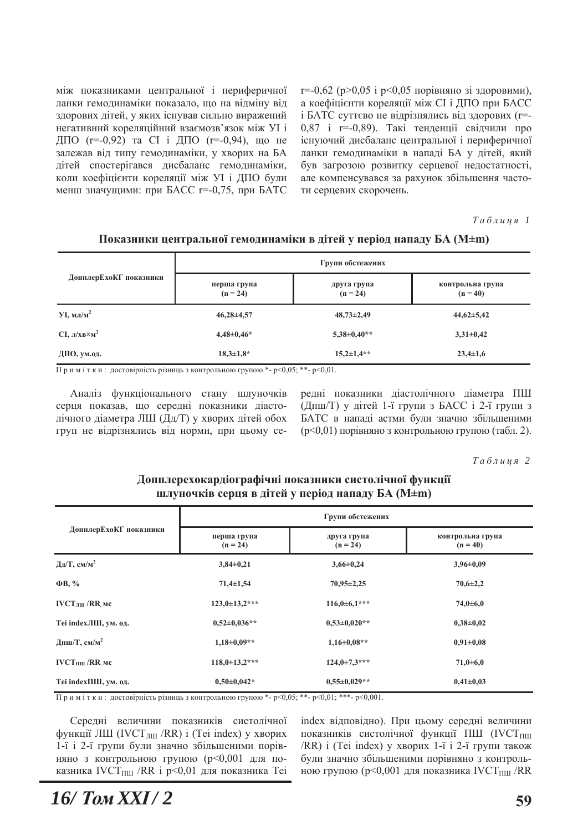між показниками центральної і периферичної ланки гемодинаміки показало, що на відміну від здорових дітей, у яких існував сильно виражений негативний кореляційний взаємозв'язок між УІ і ДПО (r=-0,92) та СІ і ДПО (r=-0,94), що не залежав від типу гемодинаміки, у хворих на БА дітей спостерігався дисбаланс гемодинаміки, коли коефіцієнти кореляції між УІ і ДПО були менш значущими: при БАСС r=-0,75, при БАТС г = -0,62 (р>0,05 і р<0,05 порівняно зі здоровими), а коефіцієнти кореляції між СІ і ДПО при БАСС і БАТС суттєво не відрізнялись від здорових (r=-0,87 і r =-0,89). Такі тенденції свідчили про існуючий дисбаланс центральної і периферичної ланки гемодинаміки в нападі БА у дітей, який був загрозою розвитку серцевої недостатності, але компенсувався за рахунок збільшення частоти серцевих скорочень.

 $Ta6\n$ <sub>µ</sub>\n<sub>µ</sub>\n<sub>q</sub>\n<sub>q</sub>\n<sub>q</sub>\n</sub>

| ДопплерЕхоКГ показники<br>перша група<br>друга група<br>$(n = 40)$<br>$(n = 24)$<br>$(n = 24)$<br>$VI$ , мл/м <sup>2</sup><br>$46,28 \pm 4,57$<br>$48,73\pm2,49$<br>$44,62 \pm 5,42$<br>$CI, J/(XB \times M^2)$<br>$4,48\pm0,46*$<br>$5,38\pm0,40**$<br>$3,31\pm0,42$ | Групи обстежених |  |                  |  |
|-----------------------------------------------------------------------------------------------------------------------------------------------------------------------------------------------------------------------------------------------------------------------|------------------|--|------------------|--|
|                                                                                                                                                                                                                                                                       |                  |  | контрольна група |  |
|                                                                                                                                                                                                                                                                       |                  |  |                  |  |
|                                                                                                                                                                                                                                                                       |                  |  |                  |  |
| $18,3 \pm 1,8*$<br>$15,2{\pm}1,4**$<br>$23,4\pm 1,6$<br>ДПО, ум.од.<br>$\overline{1}$<br>$\cdots$                                                                                                                                                                     |                  |  |                  |  |

Показники центральної гемодинаміки в дітей у період нападу БА (М±m)

Примітки: достовірність різниць з контрольною групою \*- р<0,05; \*\*- р<0,01.

Аналіз функціонального стану шлуночків серця показав, що середні показники діастолічного діаметра ЛШ (Дд/Т) у хворих дітей обох груп не відрізнялись від норми, при цьому се-

редні показники діастолічного діаметра ПШ  $($ Дпш $/$ Т $)$  у дітей 1-ї групи з БАСС і 2-ї групи з БАТС в нападі астми були значно збільшеними (p<0,01) порівняно з контрольною групою (табл. 2).

 $Ta6\n$ <sub>µ</sub>\n<i>u</i>\n<sub>u</sub>\n<sub>z</sub> 2</sub>

| ДопплерЕхоКГ показники                 | Групи обстежених          |                           |                                |  |
|----------------------------------------|---------------------------|---------------------------|--------------------------------|--|
|                                        | перша група<br>$(n = 24)$ | друга група<br>$(n = 24)$ | контрольна група<br>$(n = 40)$ |  |
| Дд/Т, см/м <sup>2</sup>                | $3,84\pm0,21$             | $3,66 \pm 0,24$           | $3,96\pm0.09$                  |  |
| $\Phi$ B, %                            | $71,4\pm 1,54$            | $70,95 \pm 2,25$          | $70,6{\pm}2,2$                 |  |
| IVCT <sub>III</sub> /RR <sub>M</sub> c | $123,0+13,2***$           | $116,0+6,1***$            | $74,0{\pm}6,0$                 |  |
| Теі іndехЛШ, ум. од.                   | $0.52 \pm 0.036**$        | $0.53 \pm 0.020**$        | $0.38 + 0.02$                  |  |
| Дпш/Т, см/м <sup>2</sup>               | $1,18\pm0,09**$           | $1,16\pm0.08**$           | $0.91 \pm 0.08$                |  |
| $IVCTHIII/RR$ MC                       | $118,0+13,2***$           | $124.0 \pm 7.3$ ***       | $71,0 + 6,0$                   |  |
| Теі іпdехПШ, ум. од.                   | $0.50 \pm 0.042*$         | $0.55 \pm 0.029**$        | $0,41\pm0,03$                  |  |

Допплерехокардіографічні показники систолічної функції шлуночків серця в дітей у період нападу БА (M±m)

Примітки: достовірність різниць з контрольною групою \*- p<0,05; \*\*- p<0,01; \*\*\*- p<0,001.

Середні величини показників систолічної функції ЛШ (IVCT<sub>JIII</sub> /RR) і (Tei index) у хворих 1-ї і 2-ї групи були значно збільшеними порівняно з контрольною групою (p<0,001 для показника IVCTпш /RR і р<0,01 для показника Теі index відповідно). При цьому середні величини показників систолічної функції ПШ (IVCT<sub>IIIII</sub> /RR) і (Tei index) у хворих 1-ї і 2-ї групи також були значно збільшеними порівняно з контрольною групою (р<0,001 для показника IVCT $_{\text{THII}}$ /RR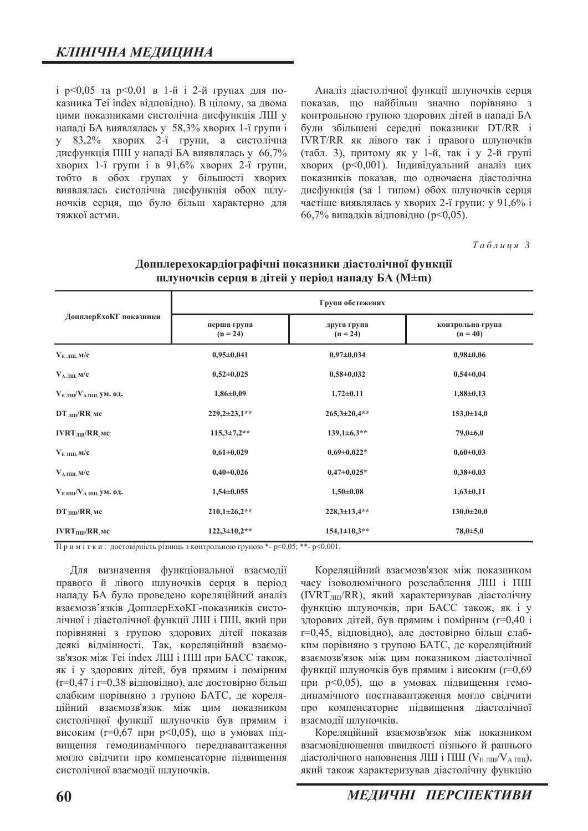$i$  p<0,05 та p<0,01 в 1-й  $i$  2-й групах для показника Tei index відповідно). В цілому, за двома цими показниками систолічна дисфункція ЛШ у нападі БА виявлялась у 58,3% хворих 1-ї групи і у 83,2% хворих 2-ї групи, а систолічна дисфункція ПШ у нападі БА виявлялась у 66,7% хворих 1-ї групи і в 91,6% хворих 2-ї групи, тобто в обох групах у більшості хворих виявлялась систолічна дисфункція обох шлуночків серця, що було більш характерно для тяжкої астми.

Аналіз діастолічної функції шлуночків серця показав, що найбільш значно порівняно з контрольною групою здорових дітей в нападі БА були збільшені середні показники DT/RR і IVRT/RR як лівого так і правого шлуночків (табл. 3), притому як у 1-й, так і у 2-й групі хворих (р<0,001). Індивідуальний аналіз цих показників показав, що одночасна діастолічна дисфункція (за 1 типом) обох шлуночків серця частіше виявлялась у хворих 2-ї групи: у 91,6% і  $66,7\%$  випадків відповідно (р<0,05).

 $Ta6$ лиця 3

|                                   | Групи обстежених          |                           |                                |  |
|-----------------------------------|---------------------------|---------------------------|--------------------------------|--|
| ДопплерЕхоКГ показники            | перша група<br>$(n = 24)$ | друга група<br>$(n = 24)$ | контрольна група<br>$(n = 40)$ |  |
| $V_{EJIII}$ M/c                   | $0,95 \pm 0,041$          | $0,97 \pm 0,034$          | $0,98 \pm 0,06$                |  |
| $V_{A JIII, M/c}$                 | $0,52\pm0,025$            | $0,58 \pm 0,032$          | $0,54\pm0,04$                  |  |
| $V_{EJIII}/V_{A~IIIII}$ , ум. од. | $1,86 \pm 0,09$           | $1,72\pm0,11$             | $1,88 \pm 0,13$                |  |
| $DT$ $_{JIII}/RR$ MC              | $229,2\pm 23,1$ **        | $265,3 \pm 20,4$ **       | $153,0+14,0$                   |  |
| $IVRTJIII/RR$ MC                  | $115,3\pm7,2**$           | $139,1\pm 6,3**$          | $79,0{\pm}6,0$                 |  |
| $V_{E\ IIIII, M/c}$               | $0,61\pm0,029$            | $0,69\pm0,022*$           | $0,60\pm0,03$                  |  |
| $V_{A\,\text{HIII},\,\text{M}}/c$ | $0,40\pm0,026$            | $0,47\pm0,025*$           | $0,38\pm0,03$                  |  |
| $V_{E IIII}/V_{A IIII, YM. OJ.$   | $1,54\pm0,055$            | $1,50\pm0,08$             | $1,63+0,11$                    |  |
| $DT$ пш/RR мс                     | $210,1\pm 26,2$ **        | $228.3 \pm 13.4**$        | $130,0 \pm 20,0$               |  |
| $IVRTHIII/RR$ MC                  | $122,3 \pm 10,2$ **       | $154,1\pm10,3**$          | $78,0{\pm}5,0$                 |  |

### Допплерехокардіографічні показники діастолічної функції **шлуночків серця в дітей у період нападу БА (M±m)**

 $\Pi$  р и м і т к и : достовірність різниць з контрольною групою \*- p<0.05; \*\*- p<0.001.

Для визначення функціональної взаємодії правого й лівого шлуночків серця в період нападу БА було проведено кореляційний аналіз взаємозв'язків ДопплерЕхоКГ-показників систолічної і діастолічної функції ЛШ і ПШ, який при порівнянні з групою здорових дітей показав деякі відмінності. Так, кореляційний взаємозв'язок між Теі index ЛШ і ПШ при БАСС також, як і у здорових дітей, був прямим і помірним  $(r=0,47 i r=0,38 Bi$ дповідно), але достовірно більш слабким порівняно з групою БАТС, де кореляційний взаємозв'язок між цим показником систолічної функції шлуночків був прямим і високим (г=0,67 при р<0,05), що в умовах підвищення гемодинамічного переднавантаження могло свідчити про компенсаторне підвищення систолічної взаємодії шлуночків.

Кореляційний взаємозв'язок між показником часу ізоволюмічного розслаблення ЛШ і ПШ  $(IVRT<sub>HH</sub>/RR)$ , який характеризував діастолічну функцію шлуночків, при БАСС також, як і у здорових дітей, був прямим і помірним (r=0,40 і г=0,45, відповідно), але достовірно більш слабким порівняно з групою БАТС, де кореляційний взаємозв'язок між цим показником діастолічної функції шлуночків був прямим і високим (r=0,69 при р<0,05), що в умовах підвищення гемодинамічного постнавантаження могло свідчити про компенсаторне підвищення діастолічної взаємодії шлуночків.

Кореляційний взаємозв'язок між показником взаємовідношення швидкості пізнього й раннього діастолічного наповнення ЛШ і ПШ ( $V_{E, HII}/V_{A, HII}$ ), який також характеризував діастолічну функцію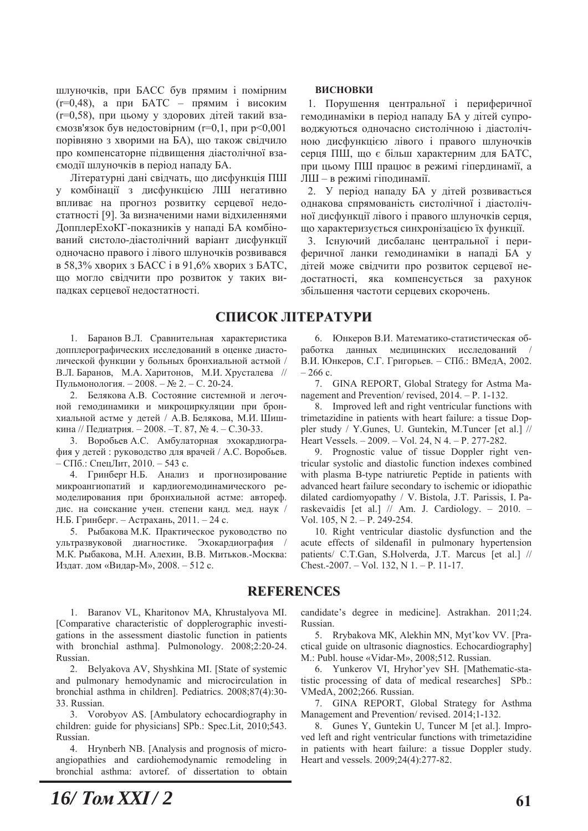шлуночків, при БАСС був прямим і помірним  $(r=0,48)$ , а при БАТС – прямим і високим  $(r=0.58)$ , при цьому у здорових дітей такий вза- $\epsilon$ мозв'язок був недостовірним (r=0,1, при р<0,001 порівняно з хворими на БА), що також свідчило про компенсаторне підвищення діастолічної взаємодії шлуночків в період нападу БА.

Літературні дані свідчать, що дисфункція ПШ у комбінації з дисфункцією ЛШ негативно впливає на прогноз розвитку серцевої недостатності [9]. За визначеними нами відхиленнями ДопплерЕхоКГ-показників у нападі БА комбінований систоло-діастолічний варіант дисфункції одночасно правого і лівого шлуночків розвивався в 58,3% хворих з БАСС і в 91,6% хворих з БАТС, що могло свідчити про розвиток у таких випадках серцевої недостатності.

#### **ВИСНОВКИ**

1. Порушення центральної і периферичної гемодинаміки в період нападу БА у дітей супроводжуються одночасно систолічною і діастолічною дисфункцією лівого і правого шлуночків серця ПШ, що є більш характерним для БАТС, при цьому ПШ працює в режимі гіпердинамії, а ЛШ - в режимі гіподинамії.

2. У період нападу БА у дітей розвивається однакова спрямованість систолічної і діастолічної дисфункції лівого і правого шлуночків серця, що характеризується синхронізацією їх функції.

3. Існуючий дисбаланс центральної і периферичної ланки гемодинаміки в нападі БА у дітей може свідчити про розвиток серцевої недостатності, яка компенсується за рахунок збільшення частоти серцевих скорочень.

## СПИСОК ЛІТЕРАТУРИ

1. Баранов В.Л. Сравнительная характеристика допплерографических исследований в оценке диастолической функции у больных бронхиальной астмой / В.Л. Баранов, М.А. Харитонов, М.И. Хрусталева // Пульмонология. − 2008. – № 2. – С. 20-24.

2. Белякова А.В. Состояние системной и легочной гемодинамики и микроциркуляции при бронхиальной астме у детей / А.В. Белякова, М.И. Шишкина // Пелиатрия. − 2008. – Т. 87, № 4. – С.30-33.

3. Воробьев А.С. Амбулаторная эхокардиография у детей: руководство для врачей / А.С. Воробьев.  $-$  СПб.: СпецЛит, 2010.  $-$  543 с.

4. Гринберг Н.Б. Анализ и прогнозирование микроангиопатий и кардиогемодинамического ремоделирования при бронхиальной астме: автореф. дис. на соискание учен. степени канд. мед. наук / Н.Б. Гринберг. – Астрахань, 2011. – 24 с.

5. Рыбакова М.К. Практическое руководство по ультразвуковой диагностике. Эхокардиография М.К. Рыбакова, М.Н. Алехин, В.В. Митьков.-Москва: Издат. дом «Видар-М», 2008. - 512 с.

6. Юнкеров В.И. Математико-статистическая обработка данных медицинских исследований В.И. Юнкеров, С.Г. Григорьев. - СПб.: ВМедА, 2002.  $-266$  c.

7. GINA REPORT, Global Strategy for Astma Management and Prevention/ revised,  $2014. - P$ , 1-132.

8. Improved left and right ventricular functions with trimetazidine in patients with heart failure: a tissue Doppler study / Y.Gunes, U. Guntekin, M.Tuncer [et al.]  $//$ Heart Vessels.  $-2009$ .  $-$  Vol. 24, N 4,  $-$  P, 277-282.

9. Prognostic value of tissue Doppler right ventricular systolic and diastolic function indexes combined with plasma B-type natriuretic Peptide in patients with advanced heart failure secondary to ischemic or idiopathic dilated cardiomyopathy / V. Bistola, J.T. Parissis, I. Paraskevaidis [et al.]  $//$  Am. J. Cardiology. - 2010. -Vol. 105, N  $2 - P$ . 249-254.

10. Right ventricular diastolic dysfunction and the acute effects of sildenafil in pulmonary hypertension patients/ C.T.Gan, S.Holverda, J.T. Marcus [et al.] // Chest.-2007. – Vol. 132, N 1. – P. 11-17.

### **REFERENCES**

1. Baranov VL, Kharitonov MA, Khrustalyova MI. [Comparative characteristic of dopplerographic investigations in the assessment diastolic function in patients with bronchial asthma]. Pulmonology. 2008;2:20-24. Russian

2. Belyakova AV, Shyshkina MI. [State of systemic and pulmonary hemodynamic and microcirculation in bronchial asthma in children]. Pediatrics. 2008;87(4):30-33. Russian.

3. Vorobyov AS. [Ambulatory echocardiography in children: guide for physicians] SPb.: Spec.Lit, 2010;543. Russian.

4. Hrynberh NB. [Analysis and prognosis of microangiopathies and cardiohemodynamic remodeling in bronchial asthma: avtoref. of dissertation to obtain

candidate's degree in medicine]. Astrakhan. 2011;24. Russian.

5. Rrybakova MK, Alekhin MN, Myt'kov VV. [Practical guide on ultrasonic diagnostics. Echocardiography] M.: Publ. house «Vidar-M», 2008;512. Russian.

6. Yunkerov VI, Hryhor'yev SH. [Mathematic-statistic processing of data of medical researches] SPb.: VMedA, 2002;266. Russian.

7. GINA REPORT, Global Strategy for Asthma Management and Prevention/revised. 2014;1-132.

8. Gunes Y, Guntekin U, Tuncer M [et al.]. Improved left and right ventricular functions with trimetazidine in patients with heart failure: a tissue Doppler study. Heart and vessels. 2009;24(4):277-82.